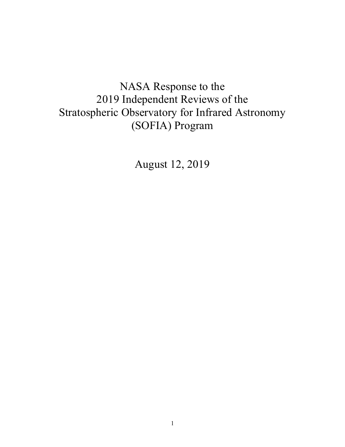# NASA Response to the 2019 Independent Reviews of the Stratospheric Observatory for Infrared Astronomy (SOFIA) Program

August 12, 2019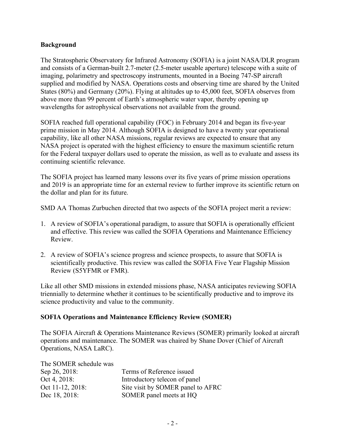#### **Background**

The Stratospheric Observatory for Infrared Astronomy (SOFIA) is a joint NASA/DLR program and consists of a German-built 2.7-meter (2.5-meter useable aperture) telescope with a suite of imaging, polarimetry and spectroscopy instruments, mounted in a Boeing 747-SP aircraft supplied and modified by NASA. Operations costs and observing time are shared by the United States (80%) and Germany (20%). Flying at altitudes up to 45,000 feet, SOFIA observes from above more than 99 percent of Earth's atmospheric water vapor, thereby opening up wavelengths for astrophysical observations not available from the ground.

SOFIA reached full operational capability (FOC) in February 2014 and began its five-year prime mission in May 2014. Although SOFIA is designed to have a twenty year operational capability, like all other NASA missions, regular reviews are expected to ensure that any NASA project is operated with the highest efficiency to ensure the maximum scientific return for the Federal taxpayer dollars used to operate the mission, as well as to evaluate and assess its continuing scientific relevance.

The SOFIA project has learned many lessons over its five years of prime mission operations and 2019 is an appropriate time for an external review to further improve its scientific return on the dollar and plan for its future.

SMD AA Thomas Zurbuchen directed that two aspects of the SOFIA project merit a review:

- 1. A review of SOFIA's operational paradigm, to assure that SOFIA is operationally efficient and effective. This review was called the SOFIA Operations and Maintenance Efficiency Review.
- 2. A review of SOFIA's science progress and science prospects, to assure that SOFIA is scientifically productive. This review was called the SOFIA Five Year Flagship Mission Review (S5YFMR or FMR).

Like all other SMD missions in extended missions phase, NASA anticipates reviewing SOFIA triennially to determine whether it continues to be scientifically productive and to improve its science productivity and value to the community.

#### **SOFIA Operations and Maintenance Efficiency Review (SOMER)**

The SOFIA Aircraft & Operations Maintenance Reviews (SOMER) primarily looked at aircraft operations and maintenance. The SOMER was chaired by Shane Dover (Chief of Aircraft Operations, NASA LaRC).

| The SOMER schedule was |                                   |
|------------------------|-----------------------------------|
| Sep 26, 2018:          | Terms of Reference issued         |
| Oct 4, 2018:           | Introductory telecon of panel     |
| Oct 11-12, 2018:       | Site visit by SOMER panel to AFRC |
| Dec 18, 2018:          | SOMER panel meets at HQ           |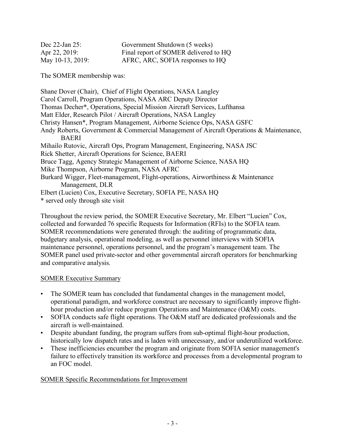| Dec $22$ -Jan $25$ : | Government Shutdown (5 weeks)         |
|----------------------|---------------------------------------|
| Apr 22, 2019:        | Final report of SOMER delivered to HQ |
| May 10-13, 2019:     | AFRC, ARC, SOFIA responses to HQ      |

The SOMER membership was:

Shane Dover (Chair), Chief of Flight Operations, NASA Langley Carol Carroll, Program Operations, NASA ARC Deputy Director Thomas Decher\*, Operations, Special Mission Aircraft Services, Lufthansa Matt Elder, Research Pilot / Aircraft Operations, NASA Langley Christy Hansen\*, Program Management, Airborne Science Ops, NASA GSFC Andy Roberts, Government & Commercial Management of Aircraft Operations & Maintenance, BAERI Mihailo Rutovic, Aircraft Ops, Program Management, Engineering, NASA JSC Rick Shetter, Aircraft Operations for Science, BAERI Bruce Tagg, Agency Strategic Management of Airborne Science, NASA HQ Mike Thompson, Airborne Program, NASA AFRC Burkard Wigger, Fleet-management, Flight-operations, Airworthiness & Maintenance Management, DLR Elbert (Lucien) Cox, Executive Secretary, SOFIA PE, NASA HQ \* served only through site visit

Throughout the review period, the SOMER Executive Secretary, Mr. Elbert "Lucien" Cox, collected and forwarded 76 specific Requests for Information (RFIs) to the SOFIA team. SOMER recommendations were generated through: the auditing of programmatic data, budgetary analysis, operational modeling, as well as personnel interviews with SOFIA maintenance personnel, operations personnel, and the program's management team. The SOMER panel used private-sector and other governmental aircraft operators for benchmarking and comparative analysis.

### SOMER Executive Summary

- The SOMER team has concluded that fundamental changes in the management model, operational paradigm, and workforce construct are necessary to significantly improve flighthour production and/or reduce program Operations and Maintenance (O&M) costs.
- SOFIA conducts safe flight operations. The O&M staff are dedicated professionals and the aircraft is well-maintained. •
- Despite abundant funding, the program suffers from sub-optimal flight-hour production, historically low dispatch rates and is laden with unnecessary, and/or underutilized workforce. •
- These inefficiencies encumber the program and originate from SOFIA senior management's failure to effectively transition its workforce and processes from a developmental program to an FOC model. •

#### SOMER Specific Recommendations for Improvement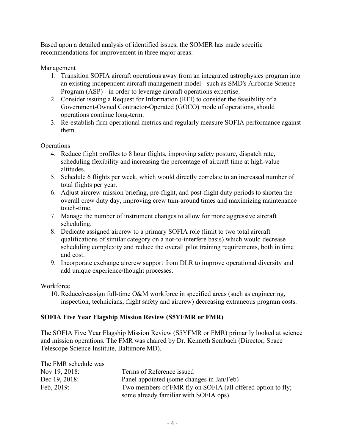Based upon a detailed analysis of identified issues, the SOMER has made specific recommendations for improvement in three major areas:

Management

- 1. Transition SOFIA aircraft operations away from an integrated astrophysics program into an existing independent aircraft management model - such as SMD's Airborne Science Program (ASP) - in order to leverage aircraft operations expertise.
- 2. Consider issuing a Request for Information (RFI) to consider the feasibility of a Government-Owned Contractor-Operated (GOCO) mode of operations, should operations continue long-term.
- 3. Re-establish firm operational metrics and regularly measure SOFIA performance against them.

**Operations** 

- 4. Reduce flight profiles to 8 hour flights, improving safety posture, dispatch rate, scheduling flexibility and increasing the percentage of aircraft time at high-value altitudes.
- 5. Schedule 6 flights per week, which would directly correlate to an increased number of total flights per year.
- 6. Adjust aircrew mission briefing, pre-flight, and post-flight duty periods to shorten the overall crew duty day, improving crew tum-around times and maximizing maintenance touch-time.
- 7. Manage the number of instrument changes to allow for more aggressive aircraft scheduling.
- 8. Dedicate assigned aircrew to a primary SOFIA role (limit to two total aircraft qualifications of similar category on a not-to-interfere basis) which would decrease scheduling complexity and reduce the overall pilot training requirements, both in time and cost.
- 9. Incorporate exchange aircrew support from DLR to improve operational diversity and add unique experience/thought processes.

**Workforce** 

10. Reduce/reassign full-time O&M workforce in specified areas (such as engineering, inspection, technicians, flight safety and aircrew) decreasing extraneous program costs.

## **SOFIA Five Year Flagship Mission Review (S5YFMR or FMR)**

The SOFIA Five Year Flagship Mission Review (S5YFMR or FMR) primarily looked at science and mission operations. The FMR was chaired by Dr. Kenneth Sembach (Director, Space Telescope Science Institute, Baltimore MD).

| The FMR schedule was |                                                             |
|----------------------|-------------------------------------------------------------|
| Nov 19, 2018:        | Terms of Reference issued                                   |
| Dec 19, 2018:        | Panel appointed (some changes in Jan/Feb)                   |
| Feb. $2019$ :        | Two members of FMR fly on SOFIA (all offered option to fly; |
|                      | some already familiar with SOFIA ops)                       |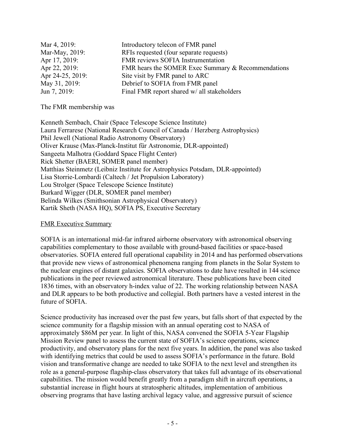| Mar 4, 2019:     | Introductory telecon of FMR panel                  |
|------------------|----------------------------------------------------|
| Mar-May, 2019:   | RFIs requested (four separate requests)            |
| Apr 17, 2019:    | FMR reviews SOFIA Instrumentation                  |
| Apr 22, 2019:    | FMR hears the SOMER Exec Summary & Recommendations |
| Apr 24-25, 2019: | Site visit by FMR panel to ARC                     |
| May 31, 2019:    | Debrief to SOFIA from FMR panel                    |
| Jun 7, 2019:     | Final FMR report shared w/ all stakeholders        |

The FMR membership was

Kenneth Sembach, Chair (Space Telescope Science Institute) Laura Ferrarese (National Research Council of Canada / Herzberg Astrophysics) Phil Jewell (National Radio Astronomy Observatory) Oliver Krause (Max-Planck-Institut für Astronomie, DLR-appointed) Sangeeta Malhotra (Goddard Space Flight Center) Rick Shetter (BAERI, SOMER panel member) Matthias Steinmetz (Leibniz Institute for Astrophysics Potsdam, DLR-appointed) Lisa Storrie-Lombardi (Caltech / Jet Propulsion Laboratory) Lou Strolger (Space Telescope Science Institute) Burkard Wigger (DLR, SOMER panel member) Belinda Wilkes (Smithsonian Astrophysical Observatory) Kartik Sheth (NASA HQ), SOFIA PS, Executive Secretary

#### FMR Executive Summary

SOFIA is an international mid-far infrared airborne observatory with astronomical observing capabilities complementary to those available with ground-based facilities or space-based observatories. SOFIA entered full operational capability in 2014 and has performed observations that provide new views of astronomical phenomena ranging from planets in the Solar System to the nuclear engines of distant galaxies. SOFIA observations to date have resulted in 144 science publications in the peer reviewed astronomical literature. These publications have been cited 1836 times, with an observatory h-index value of 22. The working relationship between NASA and DLR appears to be both productive and collegial. Both partners have a vested interest in the future of SOFIA.

Science productivity has increased over the past few years, but falls short of that expected by the science community for a flagship mission with an annual operating cost to NASA of approximately \$86M per year. In light of this, NASA convened the SOFIA 5-Year Flagship Mission Review panel to assess the current state of SOFIA's science operations, science productivity, and observatory plans for the next five years. In addition, the panel was also tasked with identifying metrics that could be used to assess SOFIA's performance in the future. Bold vision and transformative change are needed to take SOFIA to the next level and strengthen its role as a general-purpose flagship-class observatory that takes full advantage of its observational capabilities. The mission would benefit greatly from a paradigm shift in aircraft operations, a substantial increase in flight hours at stratospheric altitudes, implementation of ambitious observing programs that have lasting archival legacy value, and aggressive pursuit of science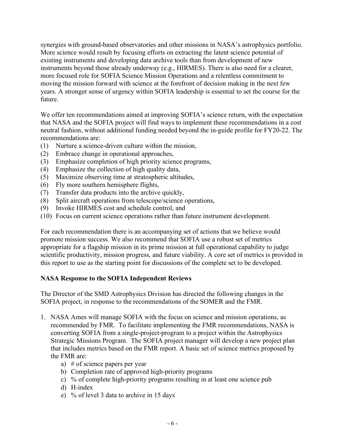synergies with ground-based observatories and other missions in NASA's astrophysics portfolio. More science would result by focusing efforts on extracting the latent science potential of existing instruments and developing data archive tools than from development of new instruments beyond those already underway (e.g., HIRMES). There is also need for a clearer, more focused role for SOFIA Science Mission Operations and a relentless commitment to moving the mission forward with science at the forefront of decision making in the next few years. A stronger sense of urgency within SOFIA leadership is essential to set the course for the future.

We offer ten recommendations aimed at improving SOFIA's science return, with the expectation that NASA and the SOFIA project will find ways to implement these recommendations in a cost neutral fashion, without additional funding needed beyond the in-guide profile for FY20-22. The recommendations are:

- (1) Nurture a science-driven culture within the mission,
- (2) Embrace change in operational approaches,
- (3) Emphasize completion of high priority science programs,
- (4) Emphasize the collection of high quality data,
- (5) Maximize observing time at stratospheric altitudes,
- (6) Fly more southern hemisphere flights,
- (7) Transfer data products into the archive quickly,
- (8) Split aircraft operations from telescope/science operations,
- (9) Invoke HIRMES cost and schedule control, and
- (10) Focus on current science operations rather than future instrument development.

For each recommendation there is an accompanying set of actions that we believe would promote mission success. We also recommend that SOFIA use a robust set of metrics appropriate for a flagship mission in its prime mission at full operational capability to judge scientific productivity, mission progress, and future viability. A core set of metrics is provided in this report to use as the starting point for discussions of the complete set to be developed.

#### **NASA Response to the SOFIA Independent Reviews**

The Director of the SMD Astrophysics Division has directed the following changes in the SOFIA project, in response to the recommendations of the SOMER and the FMR.

- 1. NASA Ames will manage SOFIA with the focus on science and mission operations, as recommended by FMR. To facilitate implementing the FMR recommendations, NASA is converting SOFIA from a single-project-program to a project within the Astrophysics Strategic Missions Program. The SOFIA project manager will develop a new project plan that includes metrics based on the FMR report. A basic set of science metrics proposed by the FMR are:
	- a) # of science papers per year
	- b) Completion rate of approved high-priority programs
	- c) % of complete high-priority programs resulting in at least one science pub
	- d) H-index
	- e) % of level 3 data to archive in 15 days